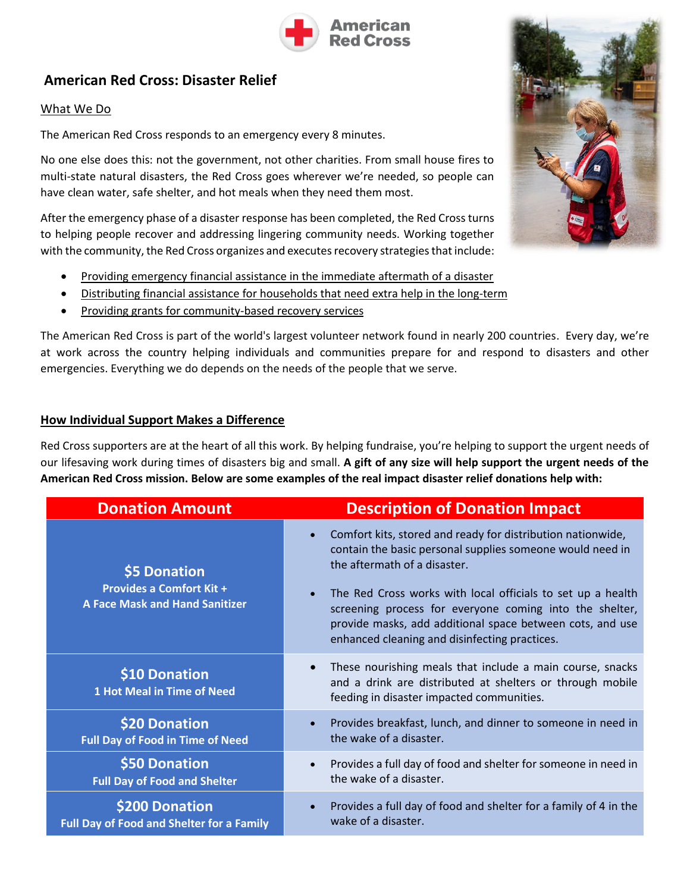

# **American Red Cross: Disaster Relief**

#### What We Do

The American Red Cross responds to an emergency every 8 minutes.

No one else does this: not the government, not other charities. From small house fires to multi-state natural disasters, the Red Cross goes wherever we're needed, so people can have clean water, safe shelter, and hot meals when they need them most.

After the emergency phase of a disaster response has been completed, the Red Cross turns to helping people recover and addressing lingering community needs. Working together with the community, the Red Cross organizes and executes recovery strategies that include:

- Providing emergency financial assistance in the immediate aftermath of a disaster
- Distributing financial assistance for households that need extra help in the long-term
- Providing grants for community-based recovery services

The American Red Cross is part of the world's largest volunteer network found in nearly 200 countries. Every day, we're at work across the country helping individuals and communities prepare for and respond to disasters and other emergencies. Everything we do depends on the needs of the people that we serve.

#### **How Individual Support Makes a Difference**

Red Cross supporters are at the heart of all this work. By helping fundraise, you're helping to support the urgent needs of our lifesaving work during times of disasters big and small. **A gift of any size will help support the urgent needs of the American Red Cross mission. Below are some examples of the real impact disaster relief donations help with:**

| <b>Donation Amount</b>                                                                   | <b>Description of Donation Impact</b>                                                                                                                                                                                                                                                                                                                                                                         |
|------------------------------------------------------------------------------------------|---------------------------------------------------------------------------------------------------------------------------------------------------------------------------------------------------------------------------------------------------------------------------------------------------------------------------------------------------------------------------------------------------------------|
| \$5 Donation<br><b>Provides a Comfort Kit +</b><br><b>A Face Mask and Hand Sanitizer</b> | Comfort kits, stored and ready for distribution nationwide,<br>$\bullet$<br>contain the basic personal supplies someone would need in<br>the aftermath of a disaster.<br>The Red Cross works with local officials to set up a health<br>screening process for everyone coming into the shelter,<br>provide masks, add additional space between cots, and use<br>enhanced cleaning and disinfecting practices. |
| \$10 Donation<br><b>1 Hot Meal in Time of Need</b>                                       | These nourishing meals that include a main course, snacks<br>$\bullet$<br>and a drink are distributed at shelters or through mobile<br>feeding in disaster impacted communities.                                                                                                                                                                                                                              |
| \$20 Donation<br><b>Full Day of Food in Time of Need</b>                                 | Provides breakfast, lunch, and dinner to someone in need in<br>the wake of a disaster.                                                                                                                                                                                                                                                                                                                        |
| \$50 Donation<br><b>Full Day of Food and Shelter</b>                                     | Provides a full day of food and shelter for someone in need in<br>$\bullet$<br>the wake of a disaster.                                                                                                                                                                                                                                                                                                        |
| \$200 Donation<br><b>Full Day of Food and Shelter for a Family</b>                       | Provides a full day of food and shelter for a family of 4 in the<br>$\bullet$<br>wake of a disaster.                                                                                                                                                                                                                                                                                                          |

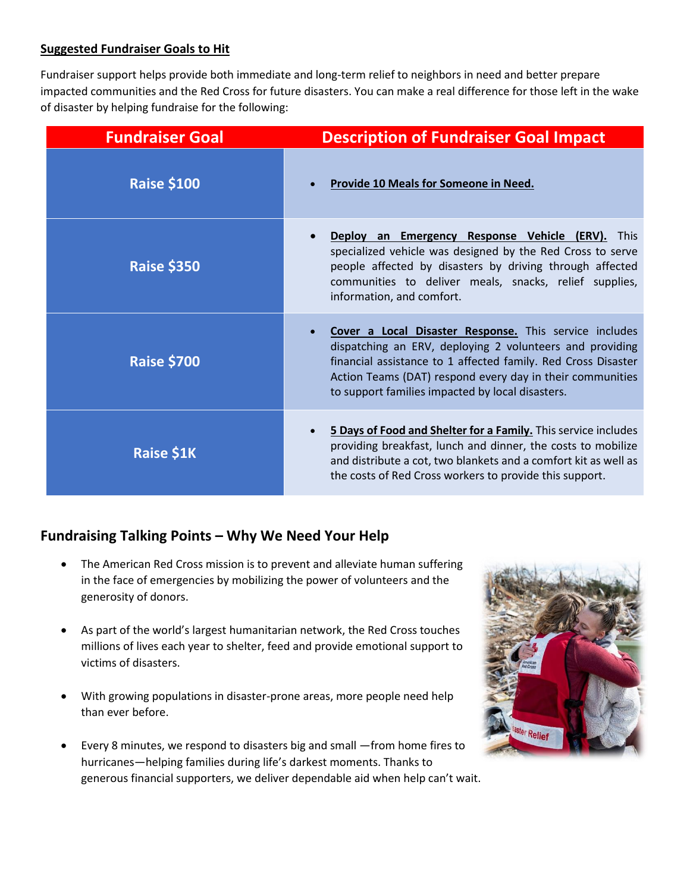#### **Suggested Fundraiser Goals to Hit**

Fundraiser support helps provide both immediate and long-term relief to neighbors in need and better prepare impacted communities and the Red Cross for future disasters. You can make a real difference for those left in the wake of disaster by helping fundraise for the following:

| <b>Fundraiser Goal</b> | <b>Description of Fundraiser Goal Impact</b>                                                                                                                                                                                                                                                         |
|------------------------|------------------------------------------------------------------------------------------------------------------------------------------------------------------------------------------------------------------------------------------------------------------------------------------------------|
| <b>Raise \$100</b>     | <b>Provide 10 Meals for Someone in Need.</b>                                                                                                                                                                                                                                                         |
| <b>Raise \$350</b>     | Deploy an Emergency Response Vehicle (ERV). This<br>specialized vehicle was designed by the Red Cross to serve<br>people affected by disasters by driving through affected<br>communities to deliver meals, snacks, relief supplies,<br>information, and comfort.                                    |
| <b>Raise \$700</b>     | Cover a Local Disaster Response. This service includes<br>dispatching an ERV, deploying 2 volunteers and providing<br>financial assistance to 1 affected family. Red Cross Disaster<br>Action Teams (DAT) respond every day in their communities<br>to support families impacted by local disasters. |
| <b>Raise \$1K</b>      | 5 Days of Food and Shelter for a Family. This service includes<br>$\bullet$<br>providing breakfast, lunch and dinner, the costs to mobilize<br>and distribute a cot, two blankets and a comfort kit as well as<br>the costs of Red Cross workers to provide this support.                            |

# **Fundraising Talking Points – Why We Need Your Help**

- The American Red Cross mission is to prevent and alleviate human suffering in the face of emergencies by mobilizing the power of volunteers and the generosity of donors.
- As part of the world's largest humanitarian network, the Red Cross touches millions of lives each year to shelter, feed and provide emotional support to victims of disasters.
- With growing populations in disaster-prone areas, more people need help than ever before.
- Every 8 minutes, we respond to disasters big and small —from home fires to hurricanes—helping families during life's darkest moments. Thanks to generous financial supporters, we deliver dependable aid when help can't wait.

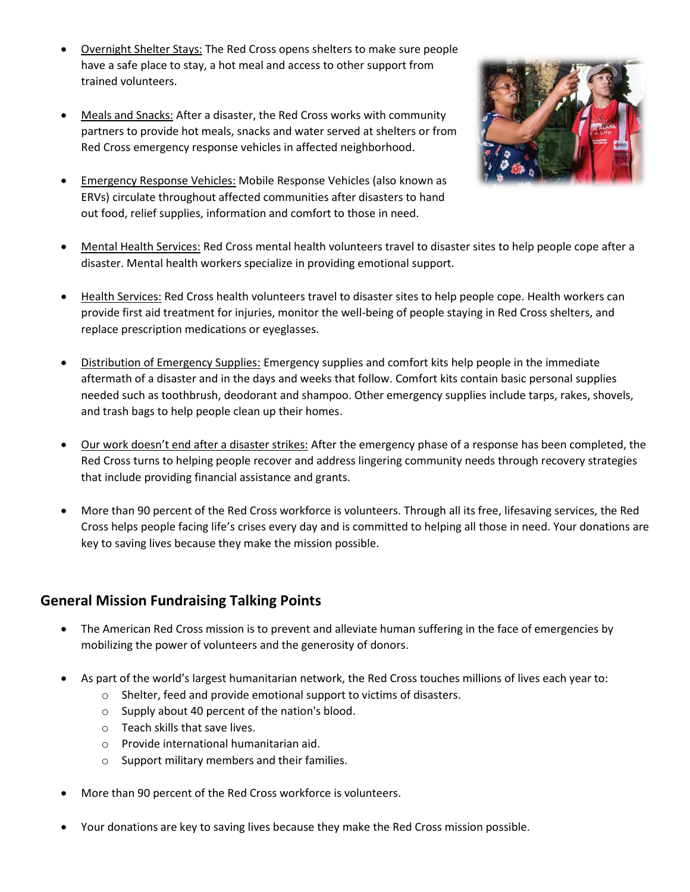- Overnight Shelter Stays: The Red Cross opens shelters to make sure people have a safe place to stay, a hot meal and access to other support from trained volunteers.
- Meals and Snacks: After a disaster, the Red Cross works with community partners to provide hot meals, snacks and water served at shelters or from Red Cross emergency response vehicles in affected neighborhood.
- Emergency Response Vehicles: Mobile Response Vehicles (also known as ERVs) circulate throughout affected communities after disasters to hand out food, relief supplies, information and comfort to those in need.



- Mental Health Services: Red Cross mental health volunteers travel to disaster sites to help people cope after a disaster. Mental health workers specialize in providing emotional support.
- Health Services: Red Cross health volunteers travel to disaster sites to help people cope. Health workers can provide first aid treatment for injuries, monitor the well-being of people staying in Red Cross shelters, and replace prescription medications or eyeglasses.
- Distribution of Emergency Supplies: Emergency supplies and comfort kits help people in the immediate aftermath of a disaster and in the days and weeks that follow. Comfort kits contain basic personal supplies needed such as toothbrush, deodorant and shampoo. Other emergency supplies include tarps, rakes, shovels, and trash bags to help people clean up their homes.
- Our work doesn't end after a disaster strikes: After the emergency phase of a response has been completed, the Red Cross turns to helping people recover and address lingering community needs through recovery strategies that include providing financial assistance and grants.
- More than 90 percent of the Red Cross workforce is volunteers. Through all its free, lifesaving services, the Red Cross helps people facing life's crises every day and is committed to helping all those in need. Your donations are key to saving lives because they make the mission possible.

# **General Mission Fundraising Talking Points**

- The American Red Cross mission is to prevent and alleviate human suffering in the face of emergencies by mobilizing the power of volunteers and the generosity of donors.
- As part of the world's largest humanitarian network, the Red Cross touches millions of lives each year to:
	- o Shelter, feed and provide emotional support to victims of disasters.
	- o Supply about 40 percent of the nation's blood.
	- o Teach skills that save lives.
	- o Provide international humanitarian aid.
	- o Support military members and their families.
- More than 90 percent of the Red Cross workforce is volunteers.
- Your donations are key to saving lives because they make the Red Cross mission possible.